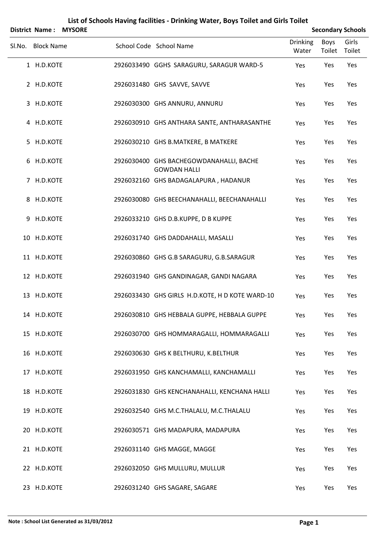|        | <b>District Name:</b> | <b>MYSORE</b> |                                                                | <b>Secondary Schools</b> |                |                 |
|--------|-----------------------|---------------|----------------------------------------------------------------|--------------------------|----------------|-----------------|
| SI.No. | <b>Block Name</b>     |               | School Code School Name                                        | Drinking<br>Water        | Boys<br>Toilet | Girls<br>Toilet |
|        | 1 H.D.KOTE            |               | 2926033490 GGHS SARAGURU, SARAGUR WARD-5                       | Yes                      | Yes            | Yes             |
|        | 2 H.D.KOTE            |               | 2926031480 GHS SAVVE, SAVVE                                    | Yes                      | Yes            | Yes             |
|        | 3 H.D.KOTE            |               | 2926030300 GHS ANNURU, ANNURU                                  | Yes                      | Yes            | Yes             |
|        | 4 H.D.KOTE            |               | 2926030910 GHS ANTHARA SANTE, ANTHARASANTHE                    | Yes                      | Yes            | Yes             |
| 5      | H.D.KOTE              |               | 2926030210 GHS B.MATKERE, B MATKERE                            | Yes                      | Yes            | Yes             |
|        | 6 H.D.KOTE            |               | 2926030400 GHS BACHEGOWDANAHALLI, BACHE<br><b>GOWDAN HALLI</b> | Yes                      | Yes            | Yes             |
|        | 7 H.D.KOTE            |               | 2926032160 GHS BADAGALAPURA, HADANUR                           | Yes                      | Yes            | Yes             |
|        | 8 H.D.KOTE            |               | 2926030080 GHS BEECHANAHALLI, BEECHANAHALLI                    | Yes                      | Yes            | Yes             |
| 9      | H.D.KOTE              |               | 2926033210 GHS D.B.KUPPE, D B KUPPE                            | Yes                      | Yes            | Yes             |
|        | 10 H.D.KOTE           |               | 2926031740 GHS DADDAHALLI, MASALLI                             | Yes                      | Yes            | Yes             |
|        | 11 H.D.KOTE           |               | 2926030860 GHS G.B SARAGURU, G.B.SARAGUR                       | Yes                      | Yes            | Yes             |
|        | 12 H.D.KOTE           |               | 2926031940 GHS GANDINAGAR, GANDI NAGARA                        | Yes                      | Yes            | Yes             |
|        | 13 H.D.KOTE           |               | 2926033430 GHS GIRLS H.D.KOTE, H D KOTE WARD-10                | Yes                      | Yes            | Yes             |
|        | 14 H.D.KOTE           |               | 2926030810 GHS HEBBALA GUPPE, HEBBALA GUPPE                    | Yes                      | Yes            | Yes             |
|        | 15 H.D.KOTE           |               | 2926030700 GHS HOMMARAGALLI, HOMMARAGALLI                      | Yes                      | Yes            | Yes             |
|        | 16 H.D.KOTE           |               | 2926030630 GHS K BELTHURU, K.BELTHUR                           | Yes                      | Yes            | Yes             |
|        | 17 H.D.KOTE           |               | 2926031950 GHS KANCHAMALLI, KANCHAMALLI                        | Yes                      | Yes            | Yes             |
|        | 18 H.D.KOTE           |               | 2926031830 GHS KENCHANAHALLI, KENCHANA HALLI                   | Yes                      | Yes            | Yes             |
|        | 19 H.D.KOTE           |               | 2926032540 GHS M.C.THALALU, M.C.THALALU                        | Yes                      | Yes            | Yes             |
|        | 20 H.D.KOTE           |               | 2926030571 GHS MADAPURA, MADAPURA                              | Yes                      | Yes            | Yes             |
|        | 21 H.D.KOTE           |               | 2926031140 GHS MAGGE, MAGGE                                    | Yes                      | Yes            | Yes             |
|        | 22 H.D.KOTE           |               | 2926032050 GHS MULLURU, MULLUR                                 | Yes                      | Yes            | Yes             |
|        | 23 H.D.KOTE           |               | 2926031240 GHS SAGARE, SAGARE                                  | Yes                      | Yes            | Yes             |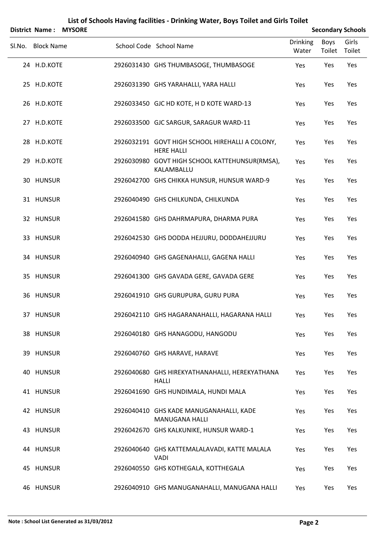| District Name:<br><b>MYSORE</b> |                                                                      |                   |                       | <b>Secondary Schools</b> |
|---------------------------------|----------------------------------------------------------------------|-------------------|-----------------------|--------------------------|
| Sl.No. Block Name               | School Code School Name                                              | Drinking<br>Water | <b>Boys</b><br>Toilet | Girls<br>Toilet          |
| 24 H.D.KOTE                     | 2926031430 GHS THUMBASOGE, THUMBASOGE                                | Yes               | Yes                   | Yes                      |
| 25 H.D.KOTE                     | 2926031390 GHS YARAHALLI, YARA HALLI                                 | Yes               | Yes                   | Yes                      |
| 26 H.D.KOTE                     | 2926033450 GJC HD KOTE, H D KOTE WARD-13                             | Yes               | Yes                   | Yes                      |
| 27 H.D.KOTE                     | 2926033500 GJC SARGUR, SARAGUR WARD-11                               | Yes               | Yes                   | Yes                      |
| 28 H.D.KOTE                     | 2926032191 GOVT HIGH SCHOOL HIREHALLI A COLONY,<br><b>HERE HALLI</b> | Yes               | Yes                   | Yes                      |
| 29 H.D.KOTE                     | 2926030980 GOVT HIGH SCHOOL KATTEHUNSUR(RMSA),<br>KALAMBALLU         | Yes               | Yes                   | Yes                      |
| 30 HUNSUR                       | 2926042700 GHS CHIKKA HUNSUR, HUNSUR WARD-9                          | Yes               | Yes                   | Yes                      |
| 31 HUNSUR                       | 2926040490 GHS CHILKUNDA, CHILKUNDA                                  | Yes               | Yes                   | Yes                      |
| 32 HUNSUR                       | 2926041580 GHS DAHRMAPURA, DHARMA PURA                               | Yes               | Yes                   | Yes                      |
| 33 HUNSUR                       | 2926042530 GHS DODDA HEJJURU, DODDAHEJJURU                           | Yes               | Yes                   | Yes                      |
| 34 HUNSUR                       | 2926040940 GHS GAGENAHALLI, GAGENA HALLI                             | Yes               | Yes                   | Yes                      |
| 35 HUNSUR                       | 2926041300 GHS GAVADA GERE, GAVADA GERE                              | Yes               | Yes                   | Yes                      |
| 36 HUNSUR                       | 2926041910 GHS GURUPURA, GURU PURA                                   | Yes               | Yes                   | Yes                      |
| 37 HUNSUR                       | 2926042110 GHS HAGARANAHALLI, HAGARANA HALLI                         | Yes               | Yes                   | Yes                      |
| 38 HUNSUR                       | 2926040180 GHS HANAGODU, HANGODU                                     | Yes               | Yes                   | Yes                      |
| 39 HUNSUR                       | 2926040760 GHS HARAVE, HARAVE                                        | Yes               | Yes                   | Yes                      |
| 40 HUNSUR                       | 2926040680 GHS HIREKYATHANAHALLI, HEREKYATHANA<br><b>HALLI</b>       | Yes               | Yes                   | Yes                      |
| 41 HUNSUR                       | 2926041690 GHS HUNDIMALA, HUNDI MALA                                 | Yes               | Yes                   | Yes                      |
| 42 HUNSUR                       | 2926040410 GHS KADE MANUGANAHALLI, KADE<br><b>MANUGANA HALLI</b>     | Yes               | Yes                   | Yes                      |
| 43 HUNSUR                       | 2926042670 GHS KALKUNIKE, HUNSUR WARD-1                              | Yes               | Yes                   | Yes                      |
| 44 HUNSUR                       | 2926040640 GHS KATTEMALALAVADI, KATTE MALALA<br><b>VADI</b>          | Yes               | Yes                   | Yes                      |
| 45 HUNSUR                       | 2926040550 GHS KOTHEGALA, KOTTHEGALA                                 | Yes               | Yes                   | Yes                      |
| 46 HUNSUR                       | 2926040910 GHS MANUGANAHALLI, MANUGANA HALLI                         | Yes               | Yes                   | Yes                      |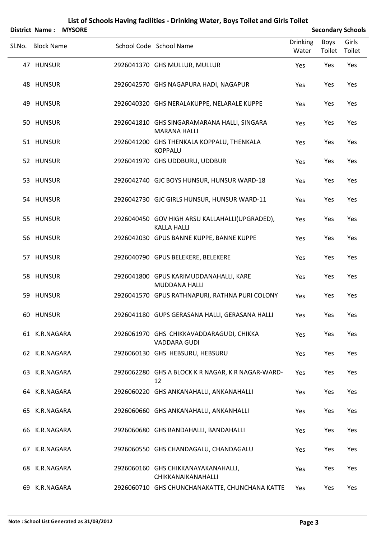|        | District Name: MYSORE |  |                                                                      |                          |                | <b>Secondary Schools</b> |
|--------|-----------------------|--|----------------------------------------------------------------------|--------------------------|----------------|--------------------------|
| SI.No. | <b>Block Name</b>     |  | School Code School Name                                              | <b>Drinking</b><br>Water | Boys<br>Toilet | Girls<br>Toilet          |
|        | 47 HUNSUR             |  | 2926041370 GHS MULLUR, MULLUR                                        | Yes                      | Yes            | Yes                      |
|        | 48 HUNSUR             |  | 2926042570 GHS NAGAPURA HADI, NAGAPUR                                | Yes                      | Yes            | Yes                      |
|        | 49 HUNSUR             |  | 2926040320 GHS NERALAKUPPE, NELARALE KUPPE                           | Yes                      | Yes            | Yes                      |
|        | 50 HUNSUR             |  | 2926041810 GHS SINGARAMARANA HALLI, SINGARA<br><b>MARANA HALLI</b>   | Yes                      | Yes            | Yes                      |
|        | 51 HUNSUR             |  | 2926041200 GHS THENKALA KOPPALU, THENKALA<br><b>KOPPALU</b>          | Yes                      | Yes            | Yes                      |
|        | 52 HUNSUR             |  | 2926041970 GHS UDDBURU, UDDBUR                                       | Yes                      | Yes            | Yes                      |
|        | 53 HUNSUR             |  | 2926042740 GJC BOYS HUNSUR, HUNSUR WARD-18                           | Yes                      | Yes            | Yes                      |
|        | 54 HUNSUR             |  | 2926042730 GJC GIRLS HUNSUR, HUNSUR WARD-11                          | Yes                      | Yes            | Yes                      |
|        | 55 HUNSUR             |  | 2926040450 GOV HIGH ARSU KALLAHALLI(UPGRADED),<br><b>KALLA HALLI</b> | Yes                      | Yes            | Yes                      |
|        | 56 HUNSUR             |  | 2926042030 GPUS BANNE KUPPE, BANNE KUPPE                             | Yes                      | Yes            | Yes                      |
|        | 57 HUNSUR             |  | 2926040790 GPUS BELEKERE, BELEKERE                                   | Yes                      | Yes            | Yes                      |
|        | 58 HUNSUR             |  | 2926041800 GPUS KARIMUDDANAHALLI, KARE<br><b>MUDDANA HALLI</b>       | Yes                      | Yes            | Yes                      |
|        | 59 HUNSUR             |  | 2926041570 GPUS RATHNAPURI, RATHNA PURI COLONY                       | Yes                      | Yes            | Yes                      |
|        | 60 HUNSUR             |  | 2926041180 GUPS GERASANA HALLI, GERASANA HALLI                       | Yes                      | Yes            | Yes                      |
|        | 61 K.R.NAGARA         |  | 2926061970 GHS CHIKKAVADDARAGUDI, CHIKKA<br><b>VADDARA GUDI</b>      | Yes                      | Yes            | Yes                      |
|        | 62 K.R.NAGARA         |  | 2926060130 GHS HEBSURU, HEBSURU                                      | Yes                      | Yes            | Yes                      |
|        | 63 K.R.NAGARA         |  | 2926062280 GHS A BLOCK K R NAGAR, K R NAGAR-WARD-<br>12              | Yes                      | Yes            | Yes                      |
|        | 64 K.R.NAGARA         |  | 2926060220 GHS ANKANAHALLI, ANKANAHALLI                              | Yes                      | Yes            | Yes                      |
|        | 65 K.R.NAGARA         |  | 2926060660 GHS ANKANAHALLI, ANKANHALLI                               | Yes                      | Yes            | Yes                      |
|        | 66 K.R.NAGARA         |  | 2926060680 GHS BANDAHALLI, BANDAHALLI                                | Yes                      | Yes            | Yes                      |
|        | 67 K.R.NAGARA         |  | 2926060550 GHS CHANDAGALU, CHANDAGALU                                | Yes                      | Yes            | Yes                      |
|        | 68 K.R.NAGARA         |  | 2926060160 GHS CHIKKANAYAKANAHALLI,<br>CHIKKANAIKANAHALLI            | Yes                      | Yes            | Yes                      |
|        | 69 K.R.NAGARA         |  | 2926060710 GHS CHUNCHANAKATTE, CHUNCHANA KATTE                       | Yes                      | Yes            | Yes                      |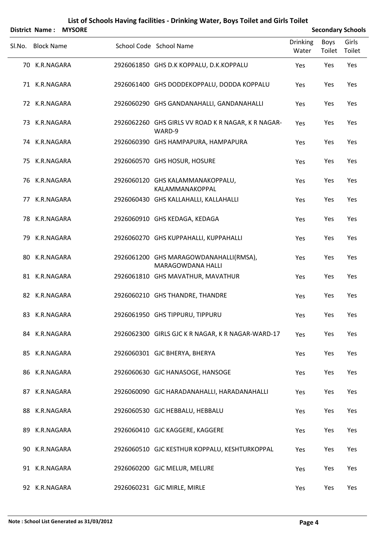|        |                   | District Name: MYSORE |                                                              |                          |                | <b>Secondary Schools</b> |
|--------|-------------------|-----------------------|--------------------------------------------------------------|--------------------------|----------------|--------------------------|
| SI.No. | <b>Block Name</b> |                       | School Code School Name                                      | <b>Drinking</b><br>Water | Boys<br>Toilet | Girls<br>Toilet          |
|        | 70 K.R.NAGARA     |                       | 2926061850 GHS D.K KOPPALU, D.K.KOPPALU                      | Yes                      | Yes            | Yes                      |
|        | 71 K.R.NAGARA     |                       | 2926061400 GHS DODDEKOPPALU, DODDA KOPPALU                   | Yes                      | Yes            | Yes                      |
|        | 72 K.R.NAGARA     |                       | 2926060290 GHS GANDANAHALLI, GANDANAHALLI                    | Yes                      | Yes            | Yes                      |
|        | 73 K.R.NAGARA     |                       | 2926062260 GHS GIRLS VV ROAD K R NAGAR, K R NAGAR-<br>WARD-9 | Yes                      | Yes            | Yes                      |
|        | 74 K.R.NAGARA     |                       | 2926060390 GHS HAMPAPURA, HAMPAPURA                          | Yes                      | Yes            | Yes                      |
|        | 75 K.R.NAGARA     |                       | 2926060570 GHS HOSUR, HOSURE                                 | Yes                      | Yes            | Yes                      |
|        | 76 K.R.NAGARA     |                       | 2926060120 GHS KALAMMANAKOPPALU,<br>KALAMMANAKOPPAL          | Yes                      | Yes            | Yes                      |
|        | 77 K.R.NAGARA     |                       | 2926060430 GHS KALLAHALLI, KALLAHALLI                        | Yes                      | Yes            | Yes                      |
|        | 78 K.R.NAGARA     |                       | 2926060910 GHS KEDAGA, KEDAGA                                | Yes                      | Yes            | Yes                      |
|        | 79 K.R.NAGARA     |                       | 2926060270 GHS KUPPAHALLI, KUPPAHALLI                        | Yes                      | Yes            | Yes                      |
|        | 80 K.R.NAGARA     |                       | 2926061200 GHS MARAGOWDANAHALLI(RMSA),<br>MARAGOWDANA HALLI  | Yes                      | Yes            | Yes                      |
|        | 81 K.R.NAGARA     |                       | 2926061810 GHS MAVATHUR, MAVATHUR                            | Yes                      | Yes            | Yes                      |
|        | 82 K.R.NAGARA     |                       | 2926060210 GHS THANDRE, THANDRE                              | Yes                      | Yes            | Yes                      |
|        | 83 K.R.NAGARA     |                       | 2926061950 GHS TIPPURU, TIPPURU                              | Yes                      | Yes            | Yes                      |
|        | 84 K.R.NAGARA     |                       | 2926062300 GIRLS GJC K R NAGAR, K R NAGAR-WARD-17            | Yes                      | Yes            | Yes                      |
|        | 85 K.R.NAGARA     |                       | 2926060301 GJC BHERYA, BHERYA                                | Yes                      | Yes            | Yes                      |
|        | 86 K.R.NAGARA     |                       | 2926060630 GJC HANASOGE, HANSOGE                             | Yes                      | Yes            | Yes                      |
|        | 87 K.R.NAGARA     |                       | 2926060090 GJC HARADANAHALLI, HARADANAHALLI                  | Yes                      | Yes            | Yes                      |
|        | 88 K.R.NAGARA     |                       | 2926060530 GJC HEBBALU, HEBBALU                              | Yes                      | Yes            | Yes                      |
|        | 89 K.R.NAGARA     |                       | 2926060410 GJC KAGGERE, KAGGERE                              | Yes                      | Yes            | Yes                      |
|        | 90 K.R.NAGARA     |                       | 2926060510 GJC KESTHUR KOPPALU, KESHTURKOPPAL                | Yes                      | Yes            | Yes                      |
|        | 91 K.R.NAGARA     |                       | 2926060200 GJC MELUR, MELURE                                 | Yes                      | Yes            | Yes                      |
|        | 92 K.R.NAGARA     |                       | 2926060231 GJC MIRLE, MIRLE                                  | Yes                      | Yes            | Yes                      |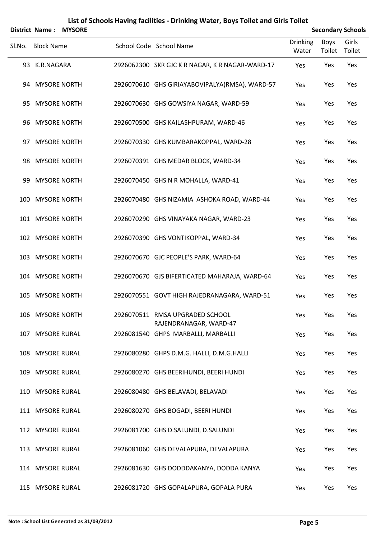|        | <b>District Name:</b> | <b>MYSORE</b> |                                                           | <b>Secondary Schools</b> |                       |                 |  |
|--------|-----------------------|---------------|-----------------------------------------------------------|--------------------------|-----------------------|-----------------|--|
| SI.No. | <b>Block Name</b>     |               | School Code School Name                                   | <b>Drinking</b><br>Water | <b>Boys</b><br>Toilet | Girls<br>Toilet |  |
|        | 93 K.R.NAGARA         |               | 2926062300 SKR GJC K R NAGAR, K R NAGAR-WARD-17           | Yes                      | Yes                   | Yes             |  |
|        | 94 MYSORE NORTH       |               | 2926070610 GHS GIRIAYABOVIPALYA(RMSA), WARD-57            | Yes                      | Yes                   | Yes             |  |
|        | 95 MYSORE NORTH       |               | 2926070630 GHS GOWSIYA NAGAR, WARD-59                     | Yes                      | Yes                   | Yes             |  |
|        | 96 MYSORE NORTH       |               | 2926070500 GHS KAILASHPURAM, WARD-46                      | Yes                      | Yes                   | Yes             |  |
| 97.    | <b>MYSORE NORTH</b>   |               | 2926070330 GHS KUMBARAKOPPAL, WARD-28                     | Yes                      | Yes                   | Yes             |  |
|        | 98 MYSORE NORTH       |               | 2926070391 GHS MEDAR BLOCK, WARD-34                       | Yes                      | Yes                   | Yes             |  |
| 99.    | <b>MYSORE NORTH</b>   |               | 2926070450 GHS N R MOHALLA, WARD-41                       | Yes                      | Yes                   | Yes             |  |
|        | 100 MYSORE NORTH      |               | 2926070480 GHS NIZAMIA ASHOKA ROAD, WARD-44               | Yes                      | Yes                   | Yes             |  |
|        | 101 MYSORE NORTH      |               | 2926070290 GHS VINAYAKA NAGAR, WARD-23                    | Yes                      | Yes                   | Yes             |  |
|        | 102 MYSORE NORTH      |               | 2926070390 GHS VONTIKOPPAL, WARD-34                       | Yes                      | Yes                   | Yes             |  |
|        | 103 MYSORE NORTH      |               | 2926070670 GJC PEOPLE'S PARK, WARD-64                     | Yes                      | Yes                   | Yes             |  |
|        | 104 MYSORE NORTH      |               | 2926070670 GJS BIFERTICATED MAHARAJA, WARD-64             | Yes                      | Yes                   | Yes             |  |
|        | 105 MYSORE NORTH      |               | 2926070551 GOVT HIGH RAJEDRANAGARA, WARD-51               | Yes                      | Yes                   | Yes             |  |
|        | 106 MYSORE NORTH      |               | 2926070511 RMSA UPGRADED SCHOOL<br>RAJENDRANAGAR, WARD-47 | Yes                      | Yes                   | Yes             |  |
|        | 107 MYSORE RURAL      |               | 2926081540 GHPS MARBALLI, MARBALLI                        | Yes                      | Yes                   | Yes             |  |
|        | 108 MYSORE RURAL      |               | 2926080280 GHPS D.M.G. HALLI, D.M.G.HALLI                 | Yes                      | Yes                   | Yes             |  |
|        | 109 MYSORE RURAL      |               | 2926080270 GHS BEERIHUNDI, BEERI HUNDI                    | Yes                      | Yes                   | Yes             |  |
|        | 110 MYSORE RURAL      |               | 2926080480 GHS BELAVADI, BELAVADI                         | Yes                      | Yes                   | Yes             |  |
|        | 111 MYSORE RURAL      |               | 2926080270 GHS BOGADI, BEERI HUNDI                        | Yes                      | Yes                   | Yes             |  |
|        | 112 MYSORE RURAL      |               | 2926081700 GHS D.SALUNDI, D.SALUNDI                       | Yes                      | Yes                   | Yes             |  |
|        | 113 MYSORE RURAL      |               | 2926081060 GHS DEVALAPURA, DEVALAPURA                     | Yes                      | Yes                   | Yes             |  |
|        | 114 MYSORE RURAL      |               | 2926081630 GHS DODDDAKANYA, DODDA KANYA                   | Yes                      | Yes                   | Yes             |  |
|        | 115 MYSORE RURAL      |               | 2926081720 GHS GOPALAPURA, GOPALA PURA                    | Yes                      | Yes                   | Yes             |  |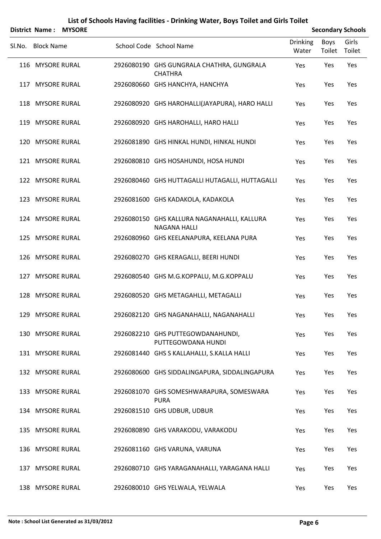|        |                   | District Name: MYSORE |                                                                    |                          |                       | <b>Secondary Schools</b> |
|--------|-------------------|-----------------------|--------------------------------------------------------------------|--------------------------|-----------------------|--------------------------|
| Sl.No. | <b>Block Name</b> |                       | School Code School Name                                            | <b>Drinking</b><br>Water | <b>Boys</b><br>Toilet | Girls<br>Toilet          |
|        | 116 MYSORE RURAL  |                       | 2926080190 GHS GUNGRALA CHATHRA, GUNGRALA<br><b>CHATHRA</b>        | Yes                      | Yes                   | Yes                      |
|        | 117 MYSORE RURAL  |                       | 2926080660 GHS HANCHYA, HANCHYA                                    | Yes                      | Yes                   | Yes                      |
|        | 118 MYSORE RURAL  |                       | 2926080920 GHS HAROHALLI(JAYAPURA), HARO HALLI                     | Yes                      | Yes                   | Yes                      |
|        | 119 MYSORE RURAL  |                       | 2926080920 GHS HAROHALLI, HARO HALLI                               | Yes                      | Yes                   | Yes                      |
|        | 120 MYSORE RURAL  |                       | 2926081890 GHS HINKAL HUNDI, HINKAL HUNDI                          | Yes                      | Yes                   | Yes                      |
|        | 121 MYSORE RURAL  |                       | 2926080810 GHS HOSAHUNDI, HOSA HUNDI                               | Yes                      | Yes                   | Yes                      |
|        | 122 MYSORE RURAL  |                       | 2926080460 GHS HUTTAGALLI HUTAGALLI, HUTTAGALLI                    | Yes                      | Yes                   | Yes                      |
|        | 123 MYSORE RURAL  |                       | 2926081600 GHS KADAKOLA, KADAKOLA                                  | Yes                      | Yes                   | Yes                      |
|        | 124 MYSORE RURAL  |                       | 2926080150 GHS KALLURA NAGANAHALLI, KALLURA<br><b>NAGANA HALLI</b> | Yes                      | Yes                   | Yes                      |
|        | 125 MYSORE RURAL  |                       | 2926080960 GHS KEELANAPURA, KEELANA PURA                           | Yes                      | Yes                   | Yes                      |
|        | 126 MYSORE RURAL  |                       | 2926080270 GHS KERAGALLI, BEERI HUNDI                              | Yes                      | Yes                   | Yes                      |
|        | 127 MYSORE RURAL  |                       | 2926080540 GHS M.G.KOPPALU, M.G.KOPPALU                            | Yes                      | Yes                   | Yes                      |
|        | 128 MYSORE RURAL  |                       | 2926080520 GHS METAGAHLLI, METAGALLI                               | Yes                      | Yes                   | Yes                      |
|        | 129 MYSORE RURAL  |                       | 2926082120 GHS NAGANAHALLI, NAGANAHALLI                            | Yes                      | Yes                   | Yes                      |
|        | 130 MYSORE RURAL  |                       | 2926082210 GHS PUTTEGOWDANAHUNDI,<br>PUTTEGOWDANA HUNDI            | Yes                      | Yes                   | Yes                      |
|        | 131 MYSORE RURAL  |                       | 2926081440 GHS S KALLAHALLI, S.KALLA HALLI                         | Yes                      | Yes                   | Yes                      |
|        | 132 MYSORE RURAL  |                       | 2926080600 GHS SIDDALINGAPURA, SIDDALINGAPURA                      | Yes                      | Yes                   | Yes                      |
|        | 133 MYSORE RURAL  |                       | 2926081070 GHS SOMESHWARAPURA, SOMESWARA<br><b>PURA</b>            | Yes                      | Yes                   | Yes                      |
|        | 134 MYSORE RURAL  |                       | 2926081510 GHS UDBUR, UDBUR                                        | Yes                      | Yes                   | Yes                      |
|        | 135 MYSORE RURAL  |                       | 2926080890 GHS VARAKODU, VARAKODU                                  | Yes                      | Yes                   | Yes                      |
|        | 136 MYSORE RURAL  |                       | 2926081160 GHS VARUNA, VARUNA                                      | Yes                      | Yes                   | Yes                      |
|        | 137 MYSORE RURAL  |                       | 2926080710 GHS YARAGANAHALLI, YARAGANA HALLI                       | Yes                      | Yes                   | Yes                      |
|        | 138 MYSORE RURAL  |                       | 2926080010 GHS YELWALA, YELWALA                                    | Yes                      | Yes                   | Yes                      |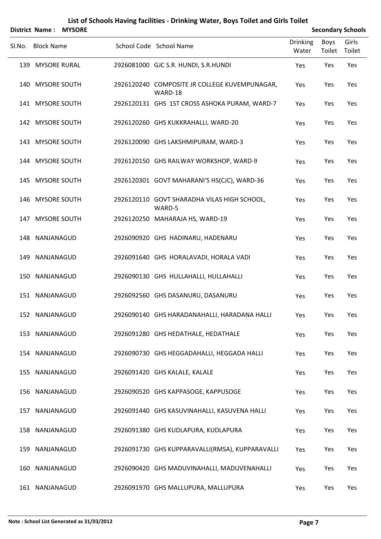|        |                   | District Name: MYSORE |                                                          |                          |                       | <b>Secondary Schools</b> |
|--------|-------------------|-----------------------|----------------------------------------------------------|--------------------------|-----------------------|--------------------------|
| SI.No. | <b>Block Name</b> |                       | School Code School Name                                  | <b>Drinking</b><br>Water | <b>Boys</b><br>Toilet | Girls<br>Toilet          |
|        | 139 MYSORE RURAL  |                       | 2926081000 GJC S.R. HUNDI, S.R.HUNDI                     | Yes                      | Yes                   | Yes                      |
|        | 140 MYSORE SOUTH  |                       | 2926120240 COMPOSITE JR COLLEGE KUVEMPUNAGAR,<br>WARD-18 | Yes                      | Yes                   | Yes                      |
|        | 141 MYSORE SOUTH  |                       | 2926120131 GHS 1ST CROSS ASHOKA PURAM, WARD-7            | Yes                      | Yes                   | Yes                      |
|        | 142 MYSORE SOUTH  |                       | 2926120260 GHS KUKKRAHALLI, WARD-20                      | Yes                      | Yes                   | Yes                      |
|        | 143 MYSORE SOUTH  |                       | 2926120090 GHS LAKSHMIPURAM, WARD-3                      | Yes                      | Yes                   | Yes                      |
|        | 144 MYSORE SOUTH  |                       | 2926120150 GHS RAILWAY WORKSHOP, WARD-9                  | Yes                      | Yes                   | Yes                      |
|        | 145 MYSORE SOUTH  |                       | 2926120301 GOVT MAHARANI'S HS(CJC), WARD-36              | Yes                      | Yes                   | Yes                      |
|        | 146 MYSORE SOUTH  |                       | 2926120110 GOVT SHARADHA VILAS HIGH SCHOOL,<br>WARD-5    | Yes                      | Yes                   | Yes                      |
|        | 147 MYSORE SOUTH  |                       | 2926120250 MAHARAJA HS, WARD-19                          | Yes                      | Yes                   | Yes                      |
|        | 148 NANJANAGUD    |                       | 2926090920 GHS HADINARU, HADENARU                        | Yes                      | Yes                   | Yes                      |
|        | 149 NANJANAGUD    |                       | 2926091640 GHS HORALAVADI, HORALA VADI                   | Yes                      | Yes                   | Yes                      |
|        | 150 NANJANAGUD    |                       | 2926090130 GHS HULLAHALLI, HULLAHALLI                    | Yes                      | Yes                   | Yes                      |
|        | 151 NANJANAGUD    |                       | 2926092560 GHS DASANURU, DASANURU                        | Yes                      | Yes                   | Yes                      |
|        | 152 NANJANAGUD    |                       | 2926090140 GHS HARADANAHALLI, HARADANA HALLI             | Yes                      | Yes                   | Yes                      |
|        | 153 NANJANAGUD    |                       | 2926091280 GHS HEDATHALE, HEDATHALE                      | Yes                      | Yes                   | Yes                      |
|        | 154 NANJANAGUD    |                       | 2926090730 GHS HEGGADAHALLI, HEGGADA HALLI               | Yes                      | Yes                   | Yes                      |
|        | 155 NANJANAGUD    |                       | 2926091420 GHS KALALE, KALALE                            | Yes                      | Yes                   | Yes                      |
|        | 156 NANJANAGUD    |                       | 2926090520 GHS KAPPASOGE, KAPPUSOGE                      | Yes                      | Yes                   | Yes                      |
|        | 157 NANJANAGUD    |                       | 2926091440 GHS KASUVINAHALLI, KASUVENA HALLI             | Yes                      | Yes                   | Yes                      |
|        | 158 NANJANAGUD    |                       | 2926091380 GHS KUDLAPURA, KUDLAPURA                      | Yes                      | Yes                   | Yes                      |
|        | 159 NANJANAGUD    |                       | 2926091730 GHS KUPPARAVALLI(RMSA), KUPPARAVALLI          | Yes                      | Yes                   | Yes                      |
|        | 160 NANJANAGUD    |                       | 2926090420 GHS MADUVINAHALLI, MADUVENAHALLI              | Yes                      | Yes                   | Yes                      |
|        | 161 NANJANAGUD    |                       | 2926091970 GHS MALLUPURA, MALLUPURA                      | Yes                      | Yes                   | Yes                      |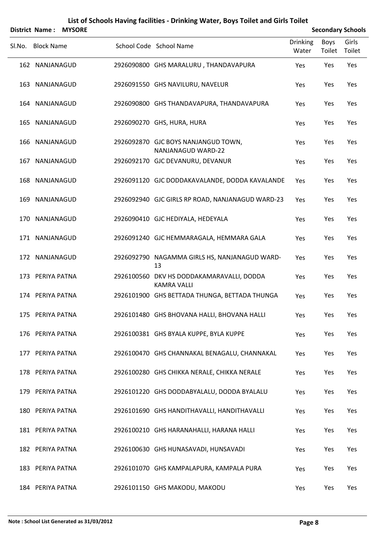|        | <b>District Name:</b> | <b>MYSORE</b> |                                                                 |                          |                       | <b>Secondary Schools</b> |
|--------|-----------------------|---------------|-----------------------------------------------------------------|--------------------------|-----------------------|--------------------------|
| SI.No. | <b>Block Name</b>     |               | School Code School Name                                         | <b>Drinking</b><br>Water | <b>Boys</b><br>Toilet | Girls<br>Toilet          |
|        | 162 NANJANAGUD        |               | 2926090800 GHS MARALURU, THANDAVAPURA                           | Yes                      | Yes                   | Yes                      |
|        | 163 NANJANAGUD        |               | 2926091550 GHS NAVILURU, NAVELUR                                | Yes                      | Yes                   | Yes                      |
|        | 164 NANJANAGUD        |               | 2926090800 GHS THANDAVAPURA, THANDAVAPURA                       | Yes                      | Yes                   | Yes                      |
|        | 165 NANJANAGUD        |               | 2926090270 GHS, HURA, HURA                                      | Yes                      | Yes                   | Yes                      |
|        | 166 NANJANAGUD        |               | 2926092870 GJC BOYS NANJANGUD TOWN,<br>NANJANAGUD WARD-22       | Yes                      | Yes                   | Yes                      |
|        | 167 NANJANAGUD        |               | 2926092170 GJC DEVANURU, DEVANUR                                | Yes                      | Yes                   | Yes                      |
|        | 168 NANJANAGUD        |               | 2926091120 GJC DODDAKAVALANDE, DODDA KAVALANDE                  | Yes                      | Yes                   | Yes                      |
|        | 169 NANJANAGUD        |               | 2926092940 GJC GIRLS RP ROAD, NANJANAGUD WARD-23                | Yes                      | Yes                   | Yes                      |
|        | 170 NANJANAGUD        |               | 2926090410 GJC HEDIYALA, HEDEYALA                               | Yes                      | Yes                   | Yes                      |
|        | 171 NANJANAGUD        |               | 2926091240 GJC HEMMARAGALA, HEMMARA GALA                        | Yes                      | Yes                   | Yes                      |
|        | 172 NANJANAGUD        |               | 2926092790 NAGAMMA GIRLS HS, NANJANAGUD WARD-<br>13             | Yes                      | Yes                   | Yes                      |
|        | 173 PERIYA PATNA      |               | 2926100560 DKV HS DODDAKAMARAVALLI, DODDA<br><b>KAMRA VALLI</b> | Yes                      | Yes                   | Yes                      |
|        | 174 PERIYA PATNA      |               | 2926101900 GHS BETTADA THUNGA, BETTADA THUNGA                   | Yes                      | Yes                   | Yes                      |
|        | 175 PERIYA PATNA      |               | 2926101480 GHS BHOVANA HALLI, BHOVANA HALLI                     | Yes                      | Yes                   | Yes                      |
|        | 176 PERIYA PATNA      |               | 2926100381 GHS BYALA KUPPE, BYLA KUPPE                          | Yes                      | Yes                   | Yes                      |
|        | 177 PERIYA PATNA      |               | 2926100470 GHS CHANNAKAL BENAGALU, CHANNAKAL                    | Yes                      | Yes                   | Yes                      |
|        | 178 PERIYA PATNA      |               | 2926100280 GHS CHIKKA NERALE, CHIKKA NERALE                     | Yes                      | Yes                   | Yes                      |
|        | 179 PERIYA PATNA      |               | 2926101220 GHS DODDABYALALU, DODDA BYALALU                      | Yes                      | Yes                   | Yes                      |
|        | 180 PERIYA PATNA      |               | 2926101690 GHS HANDITHAVALLI, HANDITHAVALLI                     | Yes                      | Yes                   | Yes                      |
|        | 181 PERIYA PATNA      |               | 2926100210 GHS HARANAHALLI, HARANA HALLI                        | Yes                      | Yes                   | Yes                      |
|        | 182 PERIYA PATNA      |               | 2926100630 GHS HUNASAVADI, HUNSAVADI                            | Yes                      | Yes                   | Yes                      |
|        | 183 PERIYA PATNA      |               | 2926101070 GHS KAMPALAPURA, KAMPALA PURA                        | Yes                      | Yes                   | Yes                      |
|        | 184 PERIYA PATNA      |               | 2926101150 GHS MAKODU, MAKODU                                   | Yes                      | Yes                   | Yes                      |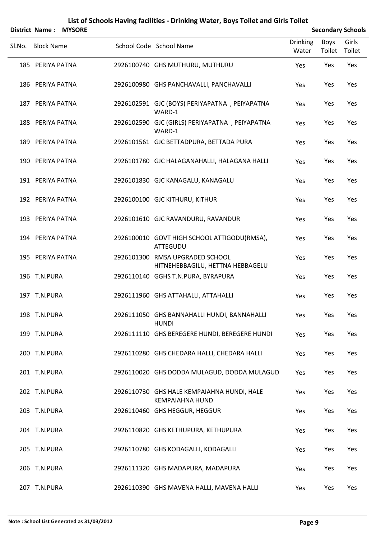|        | <b>District Name:</b> | <b>MYSORE</b> |                                                                      |                   |                | <b>Secondary Schools</b> |
|--------|-----------------------|---------------|----------------------------------------------------------------------|-------------------|----------------|--------------------------|
| Sl.No. | <b>Block Name</b>     |               | School Code School Name                                              | Drinking<br>Water | Boys<br>Toilet | Girls<br>Toilet          |
|        | 185 PERIYA PATNA      |               | 2926100740 GHS MUTHURU, MUTHURU                                      | Yes               | Yes            | Yes                      |
|        | 186 PERIYA PATNA      |               | 2926100980 GHS PANCHAVALLI, PANCHAVALLI                              | Yes               | Yes            | Yes                      |
|        | 187 PERIYA PATNA      |               | 2926102591 GJC (BOYS) PERIYAPATNA, PEIYAPATNA<br>WARD-1              | Yes               | Yes            | Yes                      |
|        | 188 PERIYA PATNA      |               | 2926102590 GJC (GIRLS) PERIYAPATNA, PEIYAPATNA<br>WARD-1             | Yes               | Yes            | Yes                      |
|        | 189 PERIYA PATNA      |               | 2926101561 GJC BETTADPURA, BETTADA PURA                              | Yes               | Yes            | Yes                      |
|        | 190 PERIYA PATNA      |               | 2926101780 GJC HALAGANAHALLI, HALAGANA HALLI                         | Yes               | Yes            | Yes                      |
|        | 191 PERIYA PATNA      |               | 2926101830 GJC KANAGALU, KANAGALU                                    | Yes               | Yes            | Yes                      |
|        | 192 PERIYA PATNA      |               | 2926100100 GJC KITHURU, KITHUR                                       | Yes               | Yes            | Yes                      |
|        | 193 PERIYA PATNA      |               | 2926101610 GJC RAVANDURU, RAVANDUR                                   | Yes               | Yes            | Yes                      |
|        | 194 PERIYA PATNA      |               | 2926100010 GOVT HIGH SCHOOL ATTIGODU(RMSA),<br>ATTEGUDU              | Yes               | Yes            | Yes                      |
|        | 195 PERIYA PATNA      |               | 2926101300 RMSA UPGRADED SCHOOL<br>HITNEHEBBAGILU, HETTNA HEBBAGELU  | Yes               | Yes            | Yes                      |
|        | 196 T.N.PURA          |               | 2926110140 GGHS T.N.PURA, BYRAPURA                                   | Yes               | Yes            | Yes                      |
|        | 197 T.N.PURA          |               | 2926111960 GHS ATTAHALLI, ATTAHALLI                                  | Yes               | Yes            | Yes                      |
|        | 198 T.N.PURA          |               | 2926111050 GHS BANNAHALLI HUNDI, BANNAHALLI<br><b>HUNDI</b>          | Yes               | Yes            | Yes                      |
|        | 199 T.N.PURA          |               | 2926111110 GHS BEREGERE HUNDI, BEREGERE HUNDI                        | Yes               | Yes            | Yes                      |
|        | 200 T.N.PURA          |               | 2926110280 GHS CHEDARA HALLI, CHEDARA HALLI                          | Yes               | Yes            | Yes                      |
|        | 201 T.N.PURA          |               | 2926110020 GHS DODDA MULAGUD, DODDA MULAGUD                          | Yes               | Yes            | Yes                      |
|        | 202 T.N.PURA          |               | 2926110730 GHS HALE KEMPAIAHNA HUNDI, HALE<br><b>KEMPAIAHNA HUND</b> | Yes               | Yes            | Yes                      |
|        | 203 T.N.PURA          |               | 2926110460 GHS HEGGUR, HEGGUR                                        | Yes               | Yes            | Yes                      |
|        | 204 T.N.PURA          |               | 2926110820 GHS KETHUPURA, KETHUPURA                                  | Yes               | Yes            | Yes                      |
|        | 205 T.N.PURA          |               | 2926110780 GHS KODAGALLI, KODAGALLI                                  | Yes               | Yes            | Yes                      |
|        | 206 T.N.PURA          |               | 2926111320 GHS MADAPURA, MADAPURA                                    | Yes               | Yes            | Yes                      |
|        | 207 T.N.PURA          |               | 2926110390 GHS MAVENA HALLI, MAVENA HALLI                            | Yes               | Yes            | Yes                      |